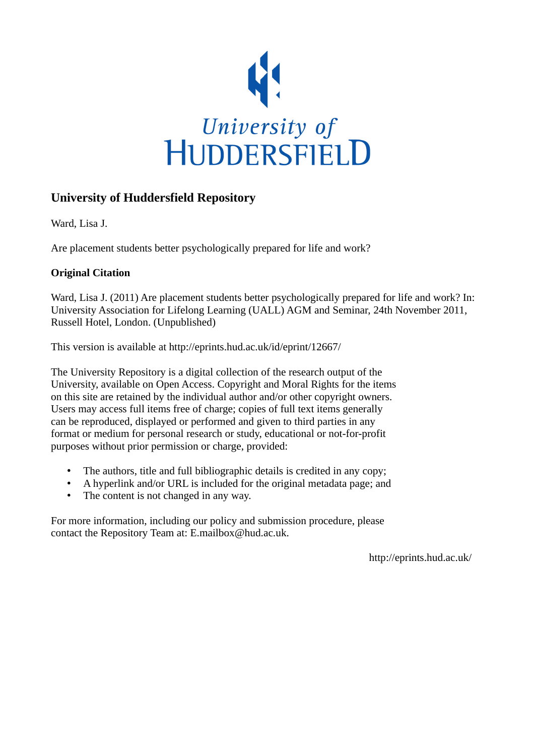

## **University of Huddersfield Repository**

Ward, Lisa J.

Are placement students better psychologically prepared for life and work?

## **Original Citation**

Ward, Lisa J. (2011) Are placement students better psychologically prepared for life and work? In: University Association for Lifelong Learning (UALL) AGM and Seminar, 24th November 2011, Russell Hotel, London. (Unpublished)

This version is available at http://eprints.hud.ac.uk/id/eprint/12667/

The University Repository is a digital collection of the research output of the University, available on Open Access. Copyright and Moral Rights for the items on this site are retained by the individual author and/or other copyright owners. Users may access full items free of charge; copies of full text items generally can be reproduced, displayed or performed and given to third parties in any format or medium for personal research or study, educational or not-for-profit purposes without prior permission or charge, provided:

- The authors, title and full bibliographic details is credited in any copy;
- A hyperlink and/or URL is included for the original metadata page; and
- The content is not changed in any way.

For more information, including our policy and submission procedure, please contact the Repository Team at: E.mailbox@hud.ac.uk.

http://eprints.hud.ac.uk/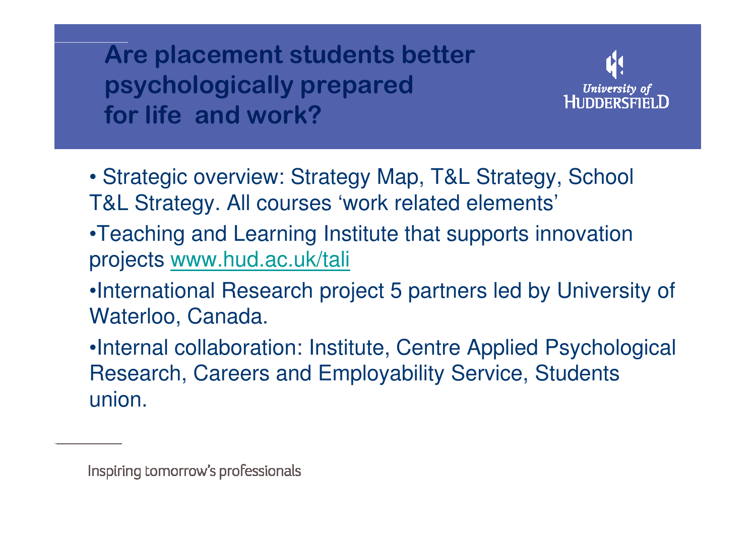Are placement students better psychologically prepared for life and work?



- Strategic overview: Strategy Map, T&L Strategy, School T&L Strategy. All courses 'work related elements'
- •Teaching and Learning Institute that supports innovationprojects www.hud.ac.uk/tali
- •International Research project 5 partners led by University of Waterloo, Canada.
- •Internal collaboration: Institute, Centre Applied Psychological Research, Careers and Employability Service, Students union.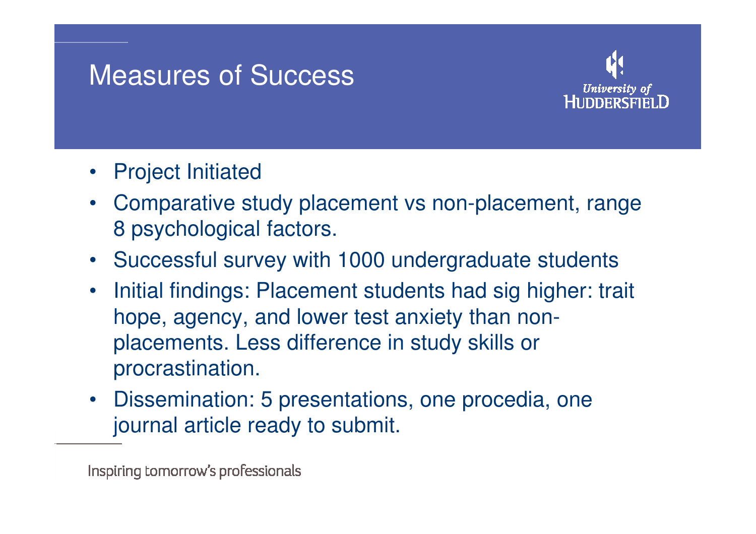## Measures of Success



- Project Initiated
- Comparative study placement vs non-placement, range 8 psychological factors.
- Successful survey with 1000 undergraduate students
- $\bullet$  Initial findings: Placement students had sig higher: trait hope, agency, and lower test anxiety than nonplacements. Less difference in study skills or procrastination.
- Dissemination: 5 presentations, one procedia, one journal article ready to submit.